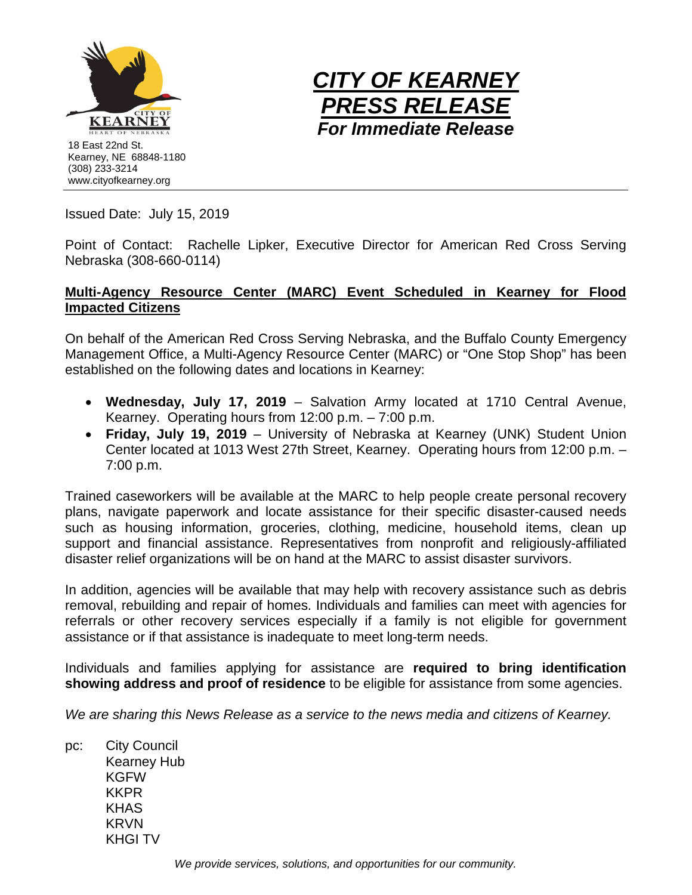



Issued Date: July 15, 2019

Point of Contact: Rachelle Lipker, Executive Director for American Red Cross Serving Nebraska (308-660-0114)

## **Multi-Agency Resource Center (MARC) Event Scheduled in Kearney for Flood Impacted Citizens**

On behalf of the American Red Cross Serving Nebraska, and the Buffalo County Emergency Management Office, a Multi-Agency Resource Center (MARC) or "One Stop Shop" has been established on the following dates and locations in Kearney:

- **Wednesday, July 17, 2019** Salvation Army located at 1710 Central Avenue, Kearney. Operating hours from 12:00 p.m. – 7:00 p.m.
- **Friday, July 19, 2019** University of Nebraska at Kearney (UNK) Student Union Center located at 1013 West 27th Street, Kearney. Operating hours from 12:00 p.m. – 7:00 p.m.

Trained caseworkers will be available at the MARC to help people create personal recovery plans, navigate paperwork and locate assistance for their specific disaster-caused needs such as housing information, groceries, clothing, medicine, household items, clean up support and financial assistance. Representatives from nonprofit and religiously-affiliated disaster relief organizations will be on hand at the MARC to assist disaster survivors.

In addition, agencies will be available that may help with recovery assistance such as debris removal, rebuilding and repair of homes. Individuals and families can meet with agencies for referrals or other recovery services especially if a family is not eligible for government assistance or if that assistance is inadequate to meet long-term needs.

Individuals and families applying for assistance are **required to bring identification showing address and proof of residence** to be eligible for assistance from some agencies.

*We are sharing this News Release as a service to the news media and citizens of Kearney.*

pc: City Council Kearney Hub **KGFW** KKPR KHAS KRVN KHGI TV